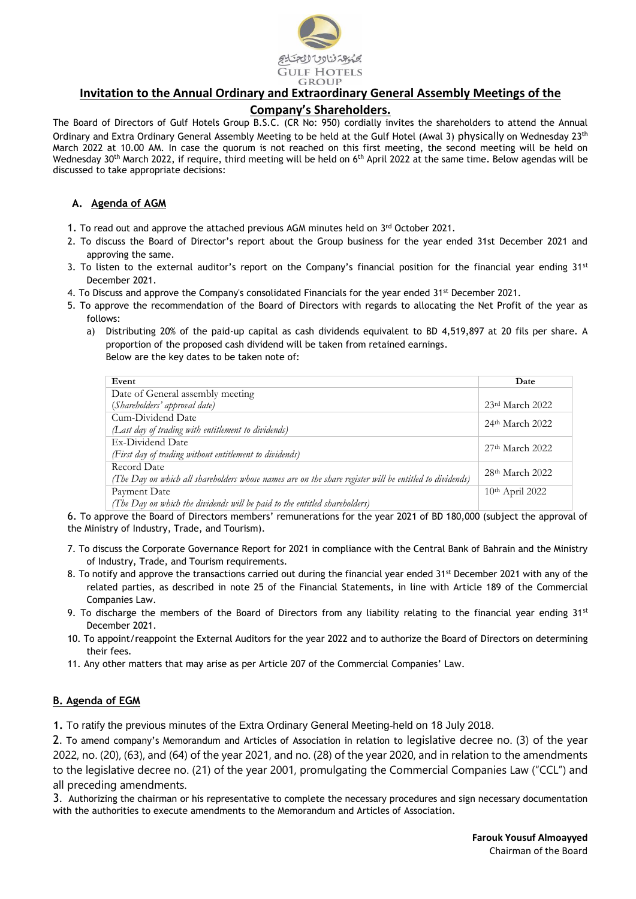

# **Invitation to the Annual Ordinary and Extraordinary General Assembly Meetings of the**

## **Company's Shareholders.**

The Board of Directors of Gulf Hotels Group B.S.C. (CR No: 950) cordially invites the shareholders to attend the Annual Ordinary and Extra Ordinary General Assembly Meeting to be held at the Gulf Hotel (Awal 3) physically on Wednesday 23<sup>th</sup> March 2022 at 10.00 AM. In case the quorum is not reached on this first meeting, the second meeting will be held on Wednesday 30<sup>th</sup> March 2022, if require, third meeting will be held on 6<sup>th</sup> April 2022 at the same time. Below agendas will be discussed to take appropriate decisions:

### **A. Agenda of AGM**

- 1. To read out and approve the attached previous AGM minutes held on  $3<sup>rd</sup>$  October 2021.
- 2. To discuss the Board of Director's report about the Group business for the year ended 31st December 2021 and approving the same.
- 3. To listen to the external auditor's report on the Company's financial position for the financial year ending  $31st$ December 2021.
- 4. To Discuss and approve the Company's consolidated Financials for the year ended 31st December 2021.
- 5. To approve the recommendation of the Board of Directors with regards to allocating the Net Profit of the year as follows:
	- a) Distributing 20% of the paid-up capital as cash dividends equivalent to BD 4,519,897 at 20 fils per share. A proportion of the proposed cash dividend will be taken from retained earnings. Below are the key dates to be taken note of:

| Event                                                                                                   | Date                |
|---------------------------------------------------------------------------------------------------------|---------------------|
| Date of General assembly meeting                                                                        |                     |
| (Shareholders' approval date)                                                                           | $23rd$ March 2022   |
| Cum-Dividend Date                                                                                       | $24th$ March 2022   |
| (Last day of trading with entitlement to dividends)                                                     |                     |
| Ex-Dividend Date                                                                                        | $27th$ March 2022   |
| (First day of trading without entitlement to dividends)                                                 |                     |
| Record Date                                                                                             | $28th$ March $2022$ |
| (The Day on which all shareholders whose names are on the share register will be entitled to dividends) |                     |
| Payment Date                                                                                            | $10th$ April 2022   |
| (The Day on which the dividends will be paid to the entitled shareholders)                              |                     |

6. To approve the Board of Directors members' remunerations for the year 2021 of BD 180,000 (subject the approval of the Ministry of Industry, Trade, and Tourism).

- 7. To discuss the Corporate Governance Report for 2021 in compliance with the Central Bank of Bahrain and the Ministry of Industry, Trade, and Tourism requirements.
- 8. To notify and approve the transactions carried out during the financial year ended 31<sup>st</sup> December 2021 with any of the related parties, as described in note 25 of the Financial Statements, in line with Article 189 of the Commercial Companies Law.
- 9. To discharge the members of the Board of Directors from any liability relating to the financial year ending  $31^{st}$ December 2021.
- 10. To appoint/reappoint the External Auditors for the year 2022 and to authorize the Board of Directors on determining their fees.
- 11. Any other matters that may arise as per Article 207 of the Commercial Companies' Law.

## **B. Agenda of EGM**

**1.** To ratify the previous minutes of the Extra Ordinary General Meeting held on 18 July 2018.

2. To amend company's Memorandum and Articles of Association in relation to legislative decree no. (3) of the year 2022, no. (20), (63), and (64) of the year 2021, and no. (28) of the year 2020, and in relation to the amendments to the legislative decree no. (21) of the year 2001, promulgating the Commercial Companies Law ("CCL") and all preceding amendments.

3. Authorizing the chairman or his representative to complete the necessary procedures and sign necessary documentation with the authorities to execute amendments to the Memorandum and Articles of Association.